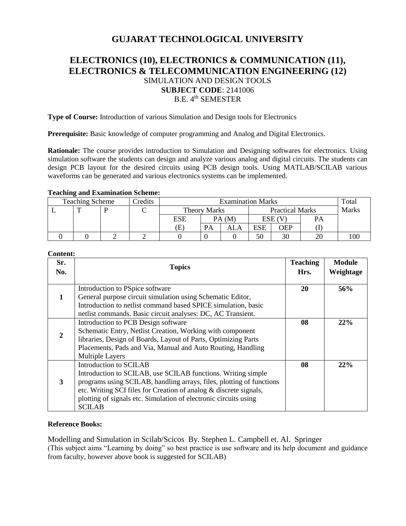# **GUJARAT TECHNOLOGICAL UNIVERSITY**

# **ELECTRONICS (10), ELECTRONICS & COMMUNICATION (11), ELECTRONICS & TELECOMMUNICATION ENGINEERING (12)** SIMULATION AND DESIGN TOOLS **SUBJECT CODE**: 2141006 B.E. 4<sup>th</sup> SEMESTER

**Type of Course:** Introduction of various Simulation and Design tools for Electronics

**Prerequisite:** Basic knowledge of computer programming and Analog and Digital Electronics.

**Rationale:** The course provides introduction to Simulation and Designing softwares for electronics. Using simulation software the students can design and analyze various analog and digital circuits. The students can design PCB layout for the desired circuits using PCB design tools. Using MATLAB/SCILAB various waveforms can be generated and various electronics systems can be implemented.

#### **Teaching and Examination Scheme:**

| -<br><b>Teaching Scheme</b> |  |  | Credits |                            | Total                                         |     |           |              |           |  |
|-----------------------------|--|--|---------|----------------------------|-----------------------------------------------|-----|-----------|--------------|-----------|--|
|                             |  |  |         |                            | <b>Practical Marks</b><br><b>Theory Marks</b> |     |           | <b>Marks</b> |           |  |
|                             |  |  |         | ESE                        | PA(M)                                         |     | $ESE$ (V) |              | <b>PA</b> |  |
|                             |  |  |         | $\left( \mathrm{E}\right)$ | <b>PA</b>                                     | ALA | ESE       | OEP          |           |  |
|                             |  |  |         |                            |                                               |     | 50        | 30           | ΖU        |  |

**Content:**

| Sr.<br>No. | <b>Topics</b>                                                                                                                                                                                                                                                                                                            | <b>Teaching</b><br>Hrs. | <b>Module</b><br>Weightage |
|------------|--------------------------------------------------------------------------------------------------------------------------------------------------------------------------------------------------------------------------------------------------------------------------------------------------------------------------|-------------------------|----------------------------|
|            | Introduction to PSpice software<br>General purpose circuit simulation using Schematic Editor,<br>Introduction to netlist command based SPICE simulation, basic<br>netlist commands. Basic circuit analyses: DC, AC Transient.                                                                                            | 20                      | 56%                        |
| 2          | Introduction to PCB Design software<br>Schematic Entry, Netlist Creation, Working with component<br>libraries, Design of Boards, Layout of Parts, Optimizing Parts<br>Placements, Pads and Via, Manual and Auto Routing, Handling<br><b>Multiple Layers</b>                                                              | 08                      | 22%                        |
| 3          | Introduction to SCILAB<br>Introduction to SCILAB, use SCILAB functions. Writing simple<br>programs using SCILAB, handling arrays, files, plotting of functions<br>etc. Writing SCI files for Creation of analog & discrete signals,<br>plotting of signals etc. Simulation of electronic circuits using<br><b>SCILAB</b> | 08                      | 22%                        |

# **Reference Books:**

Modelling and Simulation in Scilab/Scicos By. Stephen L. Campbell et. Al. Springer (This subject aims "Learning by doing" so best practice is use software and its help document and guidance from faculty, however above book is suggested for SCILAB)